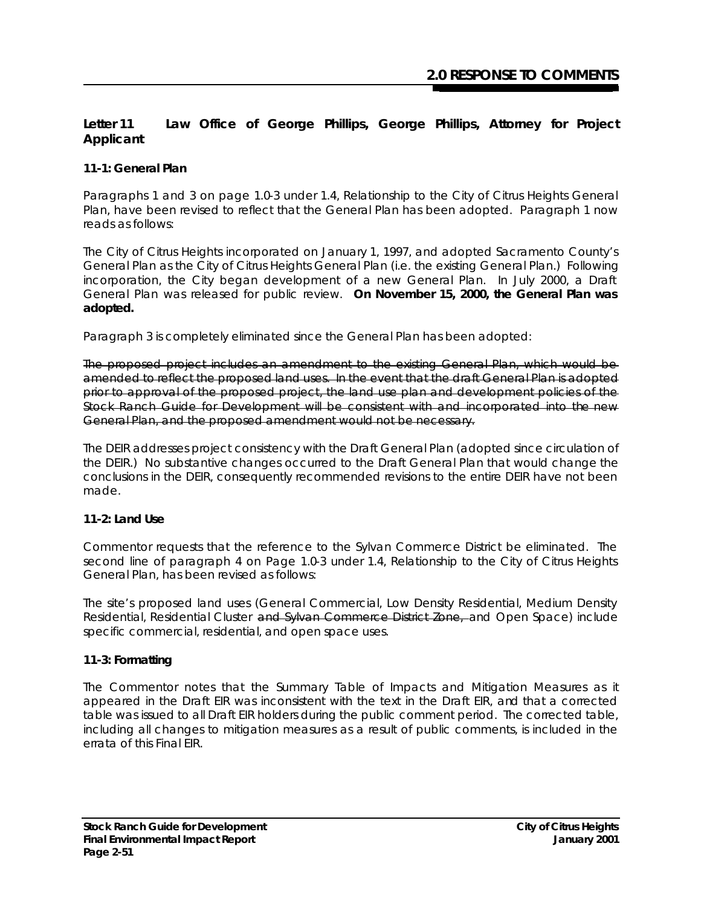# **Letter 11 Law Office of George Phillips, George Phillips, Attorney for Project Applicant**

## **11-1: General Plan**

Paragraphs 1 and 3 on page 1.0-3 under 1.4, Relationship to the City of Citrus Heights General Plan, have been revised to reflect that the General Plan has been adopted. Paragraph 1 now reads as follows:

The City of Citrus Heights incorporated on January 1, 1997, and adopted Sacramento County's General Plan as the City of Citrus Heights General Plan (i.e. the existing General Plan.) Following incorporation, the City began development of a new General Plan. In July 2000, a Draft General Plan was released for public review. *On November 15, 2000, the General Plan was adopted.*

Paragraph 3 is completely eliminated since the General Plan has been adopted:

The proposed project includes an amendment to the existing General Plan, which would be amended to reflect the proposed land uses. In the event that the draft General Plan is adopted prior to approval of the proposed project, the land use plan and development policies of the Stock Ranch Guide for Development will be consistent with and incorporated into the new General Plan, and the proposed amendment would not be necessary.

The DEIR addresses project consistency with the Draft General Plan (adopted since circulation of the DEIR.) No substantive changes occurred to the Draft General Plan that would change the conclusions in the DEIR, consequently recommended revisions to the entire DEIR have not been made.

# **11-2: Land Use**

Commentor requests that the reference to the Sylvan Commerce District be eliminated. The second line of paragraph 4 on Page 1.0-3 under 1.4, Relationship to the City of Citrus Heights General Plan, has been revised as follows:

The site's proposed land uses (General Commercial, Low Density Residential, Medium Density Residential, Residential Cluster and Sylvan Commerce District Zone, and Open Space) include specific commercial, residential, and open space uses.

## **11-3: Formatting**

The Commentor notes that the Summary Table of Impacts and Mitigation Measures as it appeared in the Draft EIR was inconsistent with the text in the Draft EIR, and that a corrected table was issued to all Draft EIR holders during the public comment period. The corrected table, including all changes to mitigation measures as a result of public comments, is included in the errata of this Final EIR.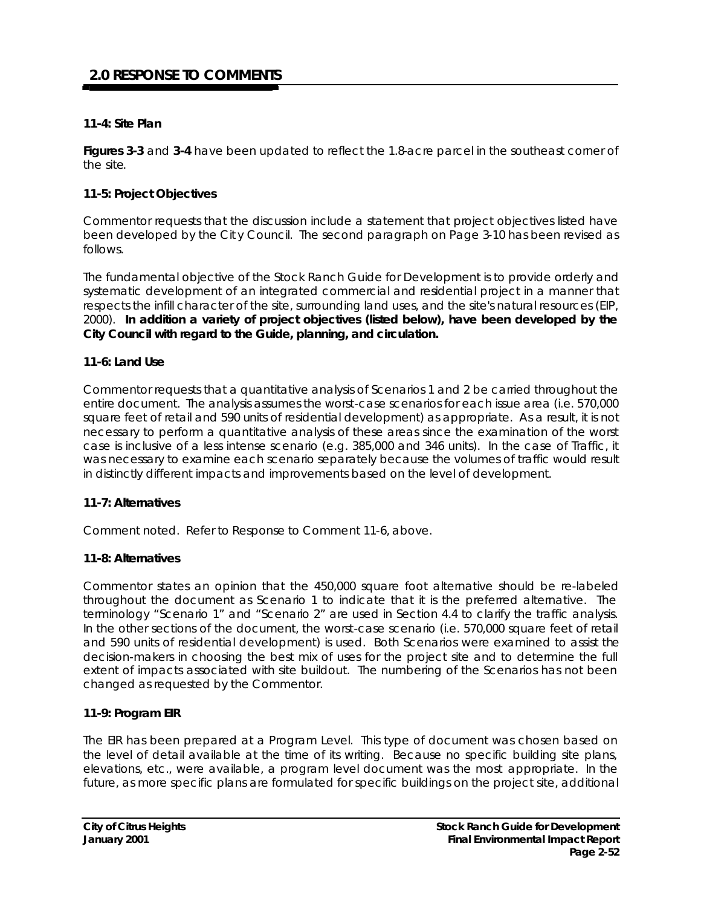## **11-4: Site Plan**

**Figures 3-3** and **3-4** have been updated to reflect the 1.8-acre parcel in the southeast corner of the site*.*

#### **11-5: Project Objectives**

Commentor requests that the discussion include a statement that project objectives listed have been developed by the Cit y Council. The second paragraph on Page 3-10 has been revised as follows.

The fundamental objective of the Stock Ranch Guide for Development is to provide orderly and systematic development of an integrated commercial and residential project in a manner that respects the infill character of the site, surrounding land uses, and the site's natural resources (EIP, 2000). *In addition a variety of project objectives (listed below), have been developed by the City Council with regard to the Guide, planning, and circulation.*

#### **11-6: Land Use**

Commentor requests that a quantitative analysis of Scenarios 1 and 2 be carried throughout the entire document. The analysis assumes the worst-case scenarios for each issue area (i.e. 570,000 square feet of retail and 590 units of residential development) as appropriate. As a result, it is not necessary to perform a quantitative analysis of these areas since the examination of the worst case is inclusive of a less intense scenario (e.g. 385,000 and 346 units). In the case of Traffic, it was necessary to examine each scenario separately because the volumes of traffic would result in distinctly different impacts and improvements based on the level of development.

#### **11-7: Alternatives**

Comment noted. Refer to Response to Comment 11-6, above.

#### **11-8: Alternatives**

Commentor states an opinion that the 450,000 square foot alternative should be re-labeled throughout the document as Scenario 1 to indicate that it is the preferred alternative. The terminology "Scenario 1" and "Scenario 2" are used in Section 4.4 to clarify the traffic analysis. In the other sections of the document, the worst-case scenario (i.e. 570,000 square feet of retail and 590 units of residential development) is used. Both Scenarios were examined to assist the decision-makers in choosing the best mix of uses for the project site and to determine the full extent of impacts associated with site buildout. The numbering of the Scenarios has not been changed as requested by the Commentor.

#### **11-9: Program EIR**

The EIR has been prepared at a Program Level. This type of document was chosen based on the level of detail available at the time of its writing. Because no specific building site plans, elevations, etc., were available, a program level document was the most appropriate. In the future, as more specific plans are formulated for specific buildings on the project site, additional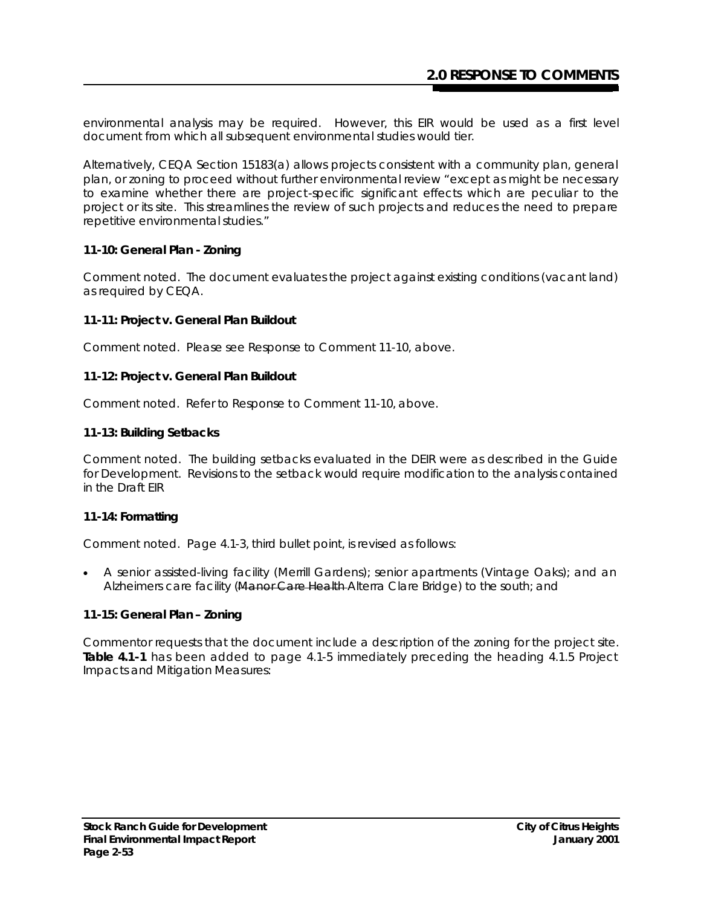environmental analysis may be required. However, this EIR would be used as a first level document from which all subsequent environmental studies would tier.

Alternatively, CEQA Section 15183(a) allows projects consistent with a community plan, general plan, or zoning to proceed without further environmental review "except as might be necessary to examine whether there are project-specific significant effects which are peculiar to the project or its site. This streamlines the review of such projects and reduces the need to prepare repetitive environmental studies."

#### **11-10: General Plan - Zoning**

Comment noted. The document evaluates the project against existing conditions (vacant land) as required by CEQA.

#### **11-11: Project v. General Plan Buildout**

Comment noted. Please see Response to Comment 11-10, above.

#### **11-12: Project v. General Plan Buildout**

Comment noted. Refer to Response to Comment 11-10, above.

#### **11-13: Building Setbacks**

Comment noted. The building setbacks evaluated in the DEIR were as described in the Guide for Development. Revisions to the setback would require modification to the analysis contained in the Draft EIR

## **11-14: Formatting**

Comment noted. Page 4.1-3, third bullet point, is revised as follows:

• A senior assisted-living facility (Merrill Gardens); senior apartments (Vintage Oaks); and an Alzheimers care facility (Manor Care Health Alterra Clare Bridge) to the south; and

## **11-15: General Plan – Zoning**

Commentor requests that the document include a description of the zoning for the project site. **Table 4.1-1** has been added to page 4.1-5 immediately preceding the heading 4.1.5 Project Impacts and Mitigation Measures: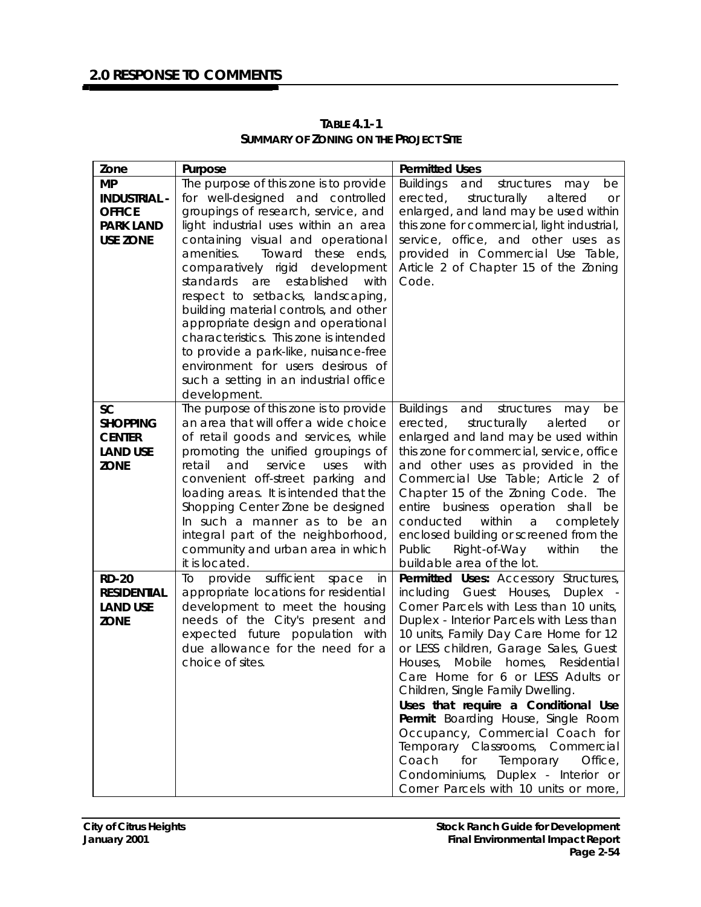| Zone                | Purpose                                                             | <b>Permitted Uses</b>                                                   |
|---------------------|---------------------------------------------------------------------|-------------------------------------------------------------------------|
| <b>MP</b>           | The purpose of this zone is to provide                              | <b>Buildings</b><br>and<br>structures<br>be<br>may                      |
| <b>INDUSTRIAL -</b> | for well-designed and controlled                                    | erected,<br>structurally<br>altered<br><b>or</b>                        |
| <b>OFFICE</b>       | groupings of research, service, and                                 | enlarged, and land may be used within                                   |
| <b>PARK LAND</b>    | light industrial uses within an area                                | this zone for commercial, light industrial,                             |
| <b>USE ZONE</b>     | containing visual and operational                                   | service, office, and other uses as                                      |
|                     | amenities.<br>Toward these ends,                                    | provided in Commercial Use Table,                                       |
|                     | comparatively rigid development                                     | Article 2 of Chapter 15 of the Zoning                                   |
|                     | standards<br>are<br>established<br>with                             | Code.                                                                   |
|                     | respect to setbacks, landscaping,                                   |                                                                         |
|                     | building material controls, and other                               |                                                                         |
|                     | appropriate design and operational                                  |                                                                         |
|                     | characteristics. This zone is intended                              |                                                                         |
|                     | to provide a park-like, nuisance-free                               |                                                                         |
|                     | environment for users desirous of                                   |                                                                         |
|                     | such a setting in an industrial office                              |                                                                         |
|                     | development.                                                        |                                                                         |
| <b>SC</b>           | The purpose of this zone is to provide                              | <b>Buildings</b><br>and<br>structures<br>be<br>may                      |
| <b>SHOPPING</b>     | an area that will offer a wide choice                               | erected,<br>structurally<br>alerted<br><b>or</b>                        |
| <b>CENTER</b>       | of retail goods and services, while                                 | enlarged and land may be used within                                    |
| <b>LAND USE</b>     | promoting the unified groupings of<br>retail                        | this zone for commercial, service, office                               |
| <b>ZONE</b>         | and<br>service<br>uses<br>with<br>convenient off-street parking and | and other uses as provided in the<br>Commercial Use Table; Article 2 of |
|                     | loading areas. It is intended that the                              | Chapter 15 of the Zoning Code. The                                      |
|                     | Shopping Center Zone be designed                                    | entire business operation shall<br>be                                   |
|                     | In such a manner as to be an                                        | within<br>conducted<br>a<br>completely                                  |
|                     | integral part of the neighborhood,                                  | enclosed building or screened from the                                  |
|                     | community and urban area in which                                   | Right-of-Way<br>Public<br>within<br>the                                 |
|                     | it is located.                                                      | buildable area of the lot.                                              |
| <b>RD-20</b>        | provide sufficient<br>Τo<br>space<br>in                             | Permitted Uses: Accessory Structures,                                   |
| <b>RESIDENTIAL</b>  | appropriate locations for residential                               | including Guest Houses,<br>Duplex                                       |
| <b>LAND USE</b>     | development to meet the housing                                     | Corner Parcels with Less than 10 units,                                 |
| <b>ZONE</b>         | needs of the City's present and                                     | Duplex - Interior Parcels with Less than                                |
|                     | expected future population with                                     | 10 units, Family Day Care Home for 12                                   |
|                     | due allowance for the need for a                                    | or LESS children, Garage Sales, Guest                                   |
|                     | choice of sites.                                                    | Mobile<br>homes, Residential<br>Houses,                                 |
|                     |                                                                     | Care Home for 6 or LESS Adults or                                       |
|                     |                                                                     | Children, Single Family Dwelling.                                       |
|                     |                                                                     | Uses that require a Conditional Use                                     |
|                     |                                                                     | Permit: Boarding House, Single Room                                     |
|                     |                                                                     | Occupancy, Commercial Coach for                                         |
|                     |                                                                     | Temporary Classrooms, Commercial                                        |
|                     |                                                                     | Coach<br>for<br>Temporary<br>Office,                                    |
|                     |                                                                     | Condominiums, Duplex - Interior or                                      |
|                     |                                                                     | Corner Parcels with 10 units or more,                                   |

**TABLE 4.1-1 SUMMARY OF ZONING ON THE PROJECT SITE**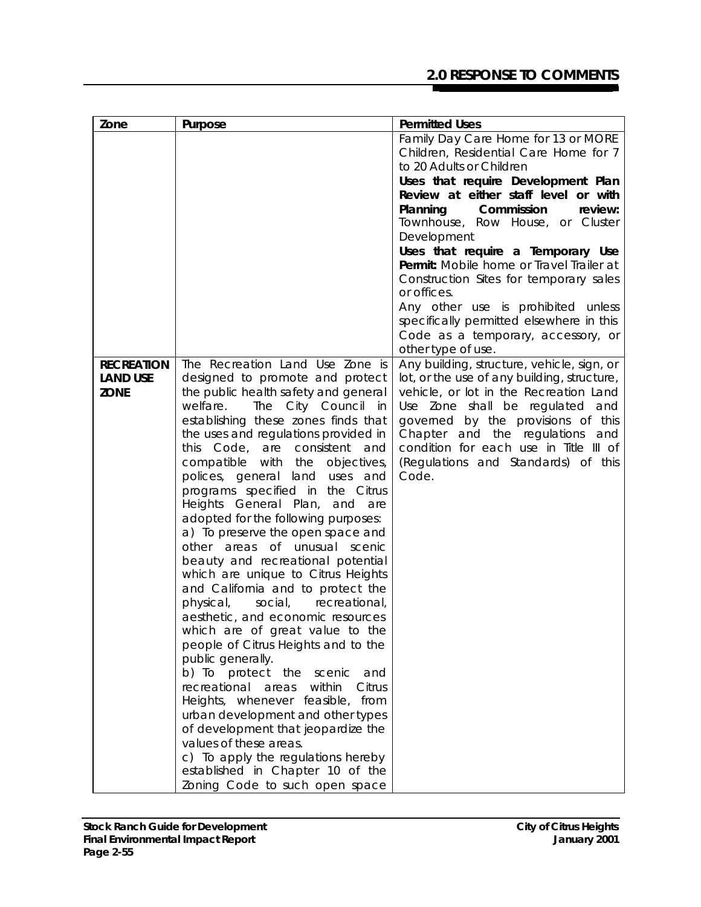# **2.0 RESPONSE TO COMMENTS**

| Zone              | Purpose                                                                 | <b>Permitted Uses</b>                                 |
|-------------------|-------------------------------------------------------------------------|-------------------------------------------------------|
|                   |                                                                         | Family Day Care Home for 13 or MORE                   |
|                   |                                                                         | Children, Residential Care Home for 7                 |
|                   |                                                                         | to 20 Adults or Children                              |
|                   |                                                                         | Uses that require Development Plan                    |
|                   |                                                                         | Review at either staff level or with                  |
|                   |                                                                         | Commission<br>Planning<br>review:                     |
|                   |                                                                         | Townhouse, Row House, or Cluster                      |
|                   |                                                                         | Development                                           |
|                   |                                                                         | Uses that require a Temporary Use                     |
|                   |                                                                         | Permit: Mobile home or Travel Trailer at              |
|                   |                                                                         | Construction Sites for temporary sales<br>or offices. |
|                   |                                                                         | Any other use is prohibited unless                    |
|                   |                                                                         | specifically permitted elsewhere in this              |
|                   |                                                                         | Code as a temporary, accessory, or                    |
|                   |                                                                         | other type of use.                                    |
| <b>RECREATION</b> | The Recreation Land Use Zone is                                         | Any building, structure, vehicle, sign, or            |
| <b>LAND USE</b>   | designed to promote and protect                                         | lot, or the use of any building, structure,           |
| <b>ZONE</b>       | the public health safety and general                                    | vehicle, or lot in the Recreation Land                |
|                   | The City Council in<br>welfare.                                         | Use Zone shall be regulated and                       |
|                   | establishing these zones finds that                                     | governed by the provisions of this                    |
|                   | the uses and regulations provided in                                    | Chapter and the regulations<br>and                    |
|                   | this Code, are consistent and                                           | condition for each use in Title III of                |
|                   | compatible with the objectives,                                         | (Regulations and Standards) of this                   |
|                   | polices, general land uses and                                          | Code.                                                 |
|                   | programs specified in the Citrus                                        |                                                       |
|                   | Heights General Plan, and<br>are                                        |                                                       |
|                   | adopted for the following purposes:                                     |                                                       |
|                   | a) To preserve the open space and                                       |                                                       |
|                   | other areas of unusual scenic                                           |                                                       |
|                   | beauty and recreational potential                                       |                                                       |
|                   | which are unique to Citrus Heights<br>and California and to protect the |                                                       |
|                   | social,<br>recreational,<br>physical,                                   |                                                       |
|                   | aesthetic, and economic resources                                       |                                                       |
|                   | which are of great value to the                                         |                                                       |
|                   | people of Citrus Heights and to the                                     |                                                       |
|                   | public generally.                                                       |                                                       |
|                   | b) To protect the scenic<br>and                                         |                                                       |
|                   | recreational areas<br>within<br>Citrus                                  |                                                       |
|                   | Heights, whenever feasible, from                                        |                                                       |
|                   | urban development and other types                                       |                                                       |
|                   | of development that jeopardize the                                      |                                                       |
|                   | values of these areas.                                                  |                                                       |
|                   | c) To apply the regulations hereby                                      |                                                       |
|                   | established in Chapter 10 of the                                        |                                                       |
|                   | Zoning Code to such open space                                          |                                                       |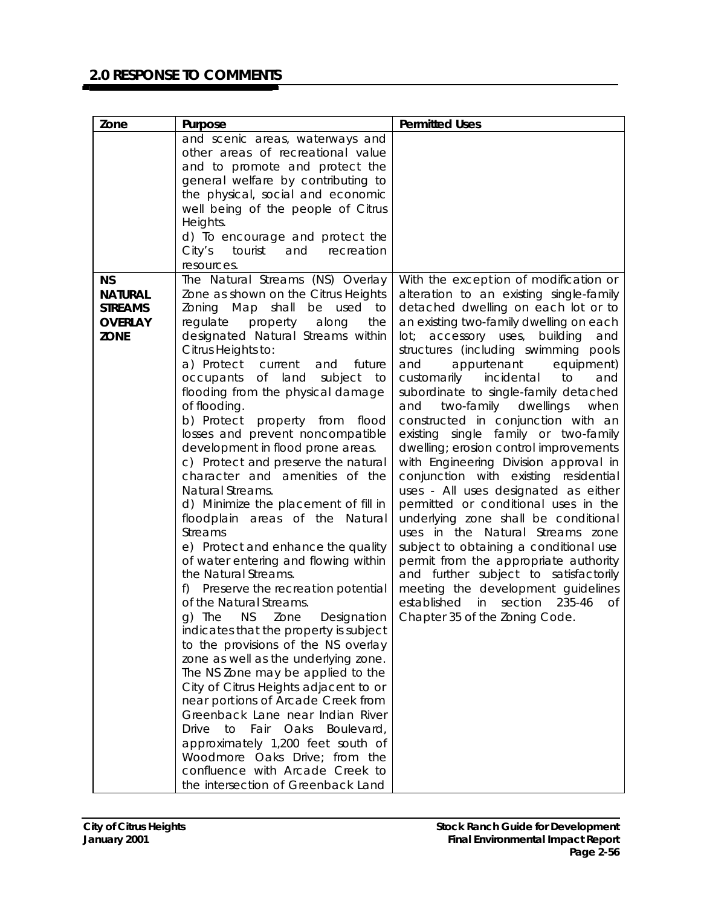| Zone                          | Purpose                                                                   | <b>Permitted Uses</b>                                                              |
|-------------------------------|---------------------------------------------------------------------------|------------------------------------------------------------------------------------|
|                               | and scenic areas, waterways and                                           |                                                                                    |
|                               | other areas of recreational value                                         |                                                                                    |
|                               | and to promote and protect the                                            |                                                                                    |
|                               | general welfare by contributing to                                        |                                                                                    |
|                               | the physical, social and economic                                         |                                                                                    |
|                               | well being of the people of Citrus                                        |                                                                                    |
|                               | Heights.                                                                  |                                                                                    |
|                               | d) To encourage and protect the                                           |                                                                                    |
|                               | City's<br>tourist<br>and<br>recreation                                    |                                                                                    |
|                               | resources.                                                                |                                                                                    |
| <b>NS</b>                     | The Natural Streams (NS) Overlay                                          | With the exception of modification or                                              |
| <b>NATURAL</b>                | Zone as shown on the Citrus Heights<br>shall                              | alteration to an existing single-family                                            |
| <b>STREAMS</b>                | Zoning Map<br>be<br>used<br>to                                            | detached dwelling on each lot or to<br>an existing two-family dwelling on each     |
| <b>OVERLAY</b><br><b>ZONE</b> | regulate<br>property<br>along<br>the<br>designated Natural Streams within | accessory uses,<br>building<br>lot;<br>and                                         |
|                               | Citrus Heights to:                                                        | structures (including swimming pools                                               |
|                               | a) Protect<br>future<br>current<br>and                                    | appurtenant<br>equipment)<br>and                                                   |
|                               | occupants of land<br>subject<br>to                                        | customarily<br>incidental<br>to<br>and                                             |
|                               | flooding from the physical damage                                         | subordinate to single-family detached                                              |
|                               | of flooding.                                                              | two-family dwellings<br>and<br>when                                                |
|                               | b) Protect property from flood                                            | constructed in conjunction with an                                                 |
|                               | losses and prevent noncompatible                                          | existing single family or two-family                                               |
|                               | development in flood prone areas.                                         | dwelling; erosion control improvements                                             |
|                               | c) Protect and preserve the natural                                       | with Engineering Division approval in                                              |
|                               | character and amenities of the                                            | conjunction with existing residential                                              |
|                               | Natural Streams.                                                          | uses - All uses designated as either                                               |
|                               | d) Minimize the placement of fill in                                      | permitted or conditional uses in the                                               |
|                               | floodplain areas of the Natural                                           | underlying zone shall be conditional                                               |
|                               | <b>Streams</b>                                                            | uses in the Natural Streams zone                                                   |
|                               | e) Protect and enhance the quality                                        | subject to obtaining a conditional use                                             |
|                               | of water entering and flowing within                                      | permit from the appropriate authority                                              |
|                               | the Natural Streams.                                                      | and further subject to satisfactorily                                              |
|                               | Preserve the recreation potential<br>f)<br>of the Natural Streams.        | meeting the development guidelines<br>established<br>section<br>in<br>235-46<br>of |
|                               | The<br><b>NS</b><br>Designation<br>Zone<br>g)                             | Chapter 35 of the Zoning Code.                                                     |
|                               | indicates that the property is subject                                    |                                                                                    |
|                               | to the provisions of the NS overlay                                       |                                                                                    |
|                               | zone as well as the underlying zone.                                      |                                                                                    |
|                               | The NS Zone may be applied to the                                         |                                                                                    |
|                               | City of Citrus Heights adjacent to or                                     |                                                                                    |
|                               | near portions of Arcade Creek from                                        |                                                                                    |
|                               | Greenback Lane near Indian River                                          |                                                                                    |
|                               | Drive to<br>Fair<br>Oaks<br>Boulevard,                                    |                                                                                    |
|                               | approximately 1,200 feet south of                                         |                                                                                    |
|                               | Woodmore Oaks Drive; from the                                             |                                                                                    |
|                               | confluence with Arcade Creek to                                           |                                                                                    |
|                               | the intersection of Greenback Land                                        |                                                                                    |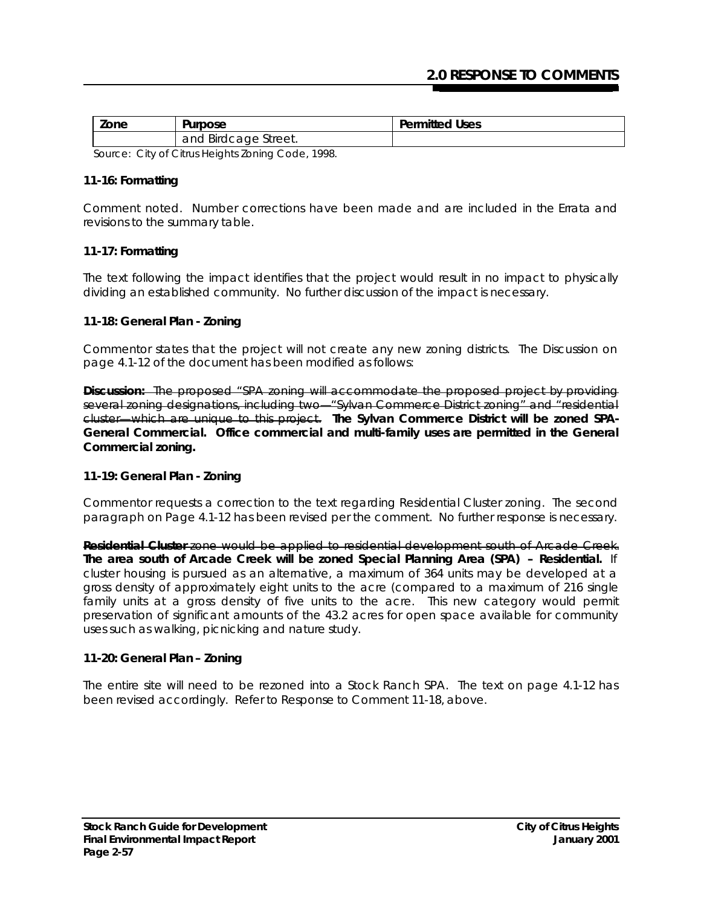| Zone                                             | Purpose              | <b>Permitted Uses</b> |
|--------------------------------------------------|----------------------|-----------------------|
|                                                  | and Birdcage Street. |                       |
| Source: City of City & Hojabts Zoning Code, 1000 |                      |                       |

*Source: City of Citrus Heights Zoning Code, 1998.*

## **11-16: Formatting**

Comment noted. Number corrections have been made and are included in the Errata and revisions to the summary table.

## **11-17: Formatting**

The text following the impact identifies that the project would result in no impact to physically dividing an established community. No further discussion of the impact is necessary.

#### **11-18: General Plan - Zoning**

Commentor states that the project will not create any new zoning districts. The Discussion on page 4.1-12 of the document has been modified as follows:

**Discussion:** The proposed "SPA zoning will accommodate the proposed project by providing several zoning designations, including two—"Sylvan Commerce District zoning" and "residential cluster—which are unique to this project. *The Sylvan Commerce District will be zoned SPA-General Commercial. Office commercial and multi-family uses are permitted in the General Commercial zoning.*

## **11-19: General Plan - Zoning**

Commentor requests a correction to the text regarding Residential Cluster zoning. The second paragraph on Page 4.1-12 has been revised per the comment. No further response is necessary.

**Residential Cluster** zone would be applied to residential development south of Arcade Creek. *The area south of Arcade Creek will be zoned Special Planning Area (SPA) – Residential.* If cluster housing is pursued as an alternative, a maximum of 364 units may be developed at a gross density of approximately eight units to the acre (compared to a maximum of 216 single family units at a gross density of five units to the acre. This new category would permit preservation of significant amounts of the 43.2 acres for open space available for community uses such as walking, picnicking and nature study.

#### **11-20: General Plan – Zoning**

The entire site will need to be rezoned into a Stock Ranch SPA. The text on page 4.1-12 has been revised accordingly. Refer to Response to Comment 11-18, above.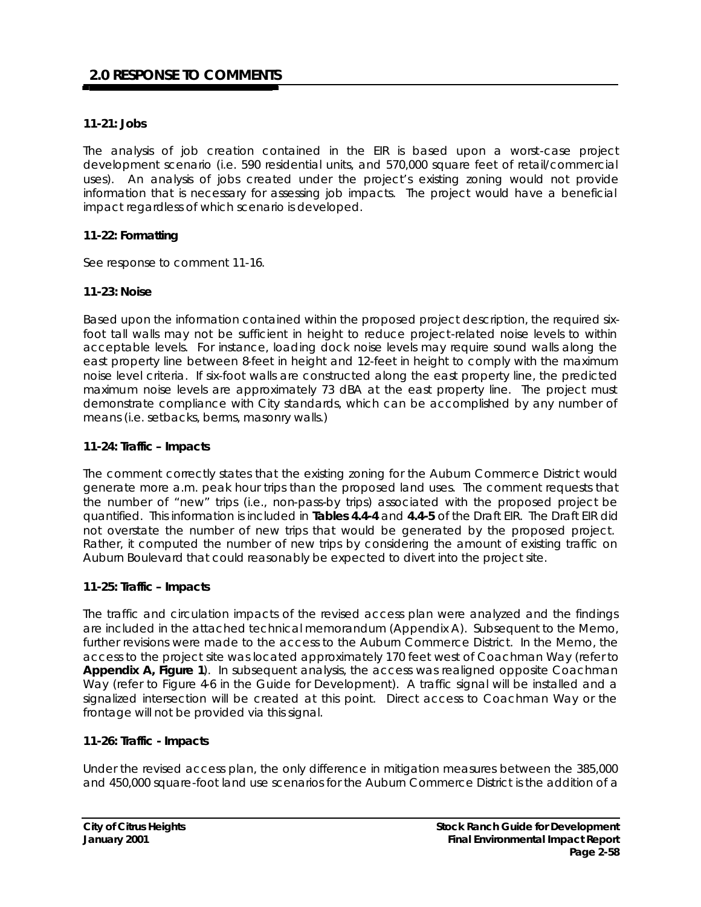## **11-21: Jobs**

The analysis of job creation contained in the EIR is based upon a worst-case project development scenario (i.e. 590 residential units, and 570,000 square feet of retail/commercial uses). An analysis of jobs created under the project's existing zoning would not provide information that is necessary for assessing job impacts. The project would have a beneficial impact regardless of which scenario is developed.

## **11-22: Formatting**

See response to comment 11-16.

#### **11-23: Noise**

Based upon the information contained within the proposed project description, the required sixfoot tall walls may not be sufficient in height to reduce project-related noise levels to within acceptable levels. For instance, loading dock noise levels may require sound walls along the east property line between 8-feet in height and 12-feet in height to comply with the maximum noise level criteria. If six-foot walls are constructed along the east property line, the predicted maximum noise levels are approximately 73 dBA at the east property line. The project must demonstrate compliance with City standards, which can be accomplished by any number of means (i.e. setbacks, berms, masonry walls.)

#### **11-24: Traffic – Impacts**

The comment correctly states that the existing zoning for the Auburn Commerce District would generate more a.m. peak hour trips than the proposed land uses. The comment requests that the number of "new" trips (i.e., non-pass-by trips) associated with the proposed project be quantified. This information is included in **Tables 4.4-4** and **4.4-5** of the Draft EIR. The Draft EIR did not overstate the number of new trips that would be generated by the proposed project. Rather, it computed the number of new trips by considering the amount of existing traffic on Auburn Boulevard that could reasonably be expected to divert into the project site.

## **11-25: Traffic – Impacts**

The traffic and circulation impacts of the revised access plan were analyzed and the findings are included in the attached technical memorandum (Appendix A). Subsequent to the Memo, further revisions were made to the access to the Auburn Commerce District. In the Memo, the access to the project site was located approximately 170 feet west of Coachman Way (refer to **Appendix A, Figure 1).** In subsequent analysis, the access was realigned opposite Coachman Way (refer to Figure 4-6 in the Guide for Development). A traffic signal will be installed and a signalized intersection will be created at this point. Direct access to Coachman Way or the frontage will not be provided via this signal.

## **11-26: Traffic - Impacts**

Under the revised access plan, the only difference in mitigation measures between the 385,000 and 450,000 square-foot land use scenarios for the Auburn Commerce District is the addition of a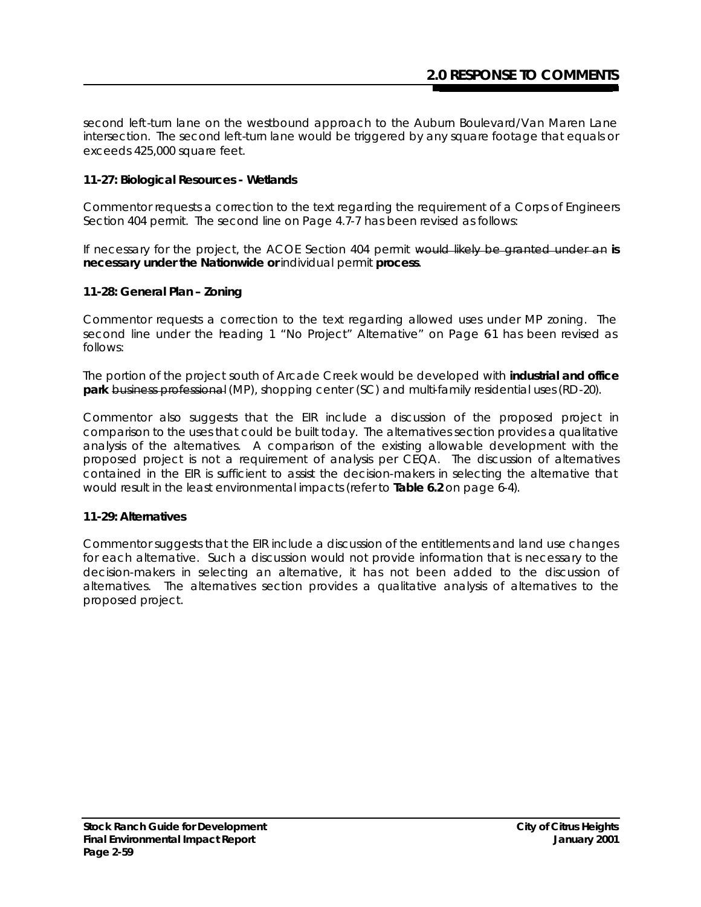second left-turn lane on the westbound approach to the Auburn Boulevard/Van Maren Lane intersection. The second left-turn lane would be triggered by any square footage that equals or exceeds 425,000 square feet.

## **11-27: Biological Resources - Wetlands**

Commentor requests a correction to the text regarding the requirement of a Corps of Engineers Section 404 permit. The second line on Page 4.7-7 has been revised as follows:

If necessary for the project, the ACOE Section 404 permit would likely be granted under an *is necessary under the Nationwide or* individual permit *process*.

## **11-28: General Plan – Zoning**

Commentor requests a correction to the text regarding allowed uses under MP zoning. The second line under the heading 1 "No Project" Alternative" on Page 61 has been revised as follows:

The portion of the project south of Arcade Creek would be developed with *industrial and office park* business professional (MP), shopping center (SC) and multi-family residential uses (RD-20).

Commentor also suggests that the EIR include a discussion of the proposed project in comparison to the uses that could be built today. The alternatives section provides a qualitative analysis of the alternatives. A comparison of the existing allowable development with the proposed project is not a requirement of analysis per CEQA. The discussion of alternatives contained in the EIR is sufficient to assist the decision-makers in selecting the alternative that would result in the least environmental impacts (refer to **Table 6.2** on page 6-4).

## **11-29: Alternatives**

Commentor suggests that the EIR include a discussion of the entitlements and land use changes for each alternative. Such a discussion would not provide information that is necessary to the decision-makers in selecting an alternative, it has not been added to the discussion of alternatives. The alternatives section provides a qualitative analysis of alternatives to the proposed project.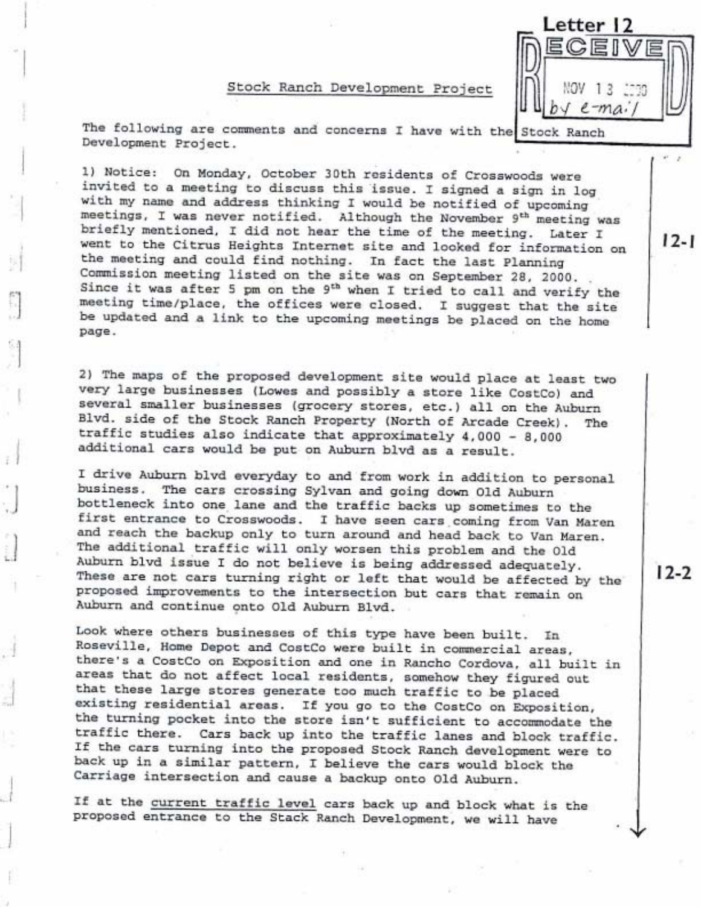#### Stock Ranch Development Project

Letter 12  $13$  $e$ -mai

The following are comments and concerns I have with the Stock Ranch Development Project.

1) Notice: On Monday, October 30th residents of Crosswoods were invited to a meeting to discuss this issue. I signed a sign in log with my name and address thinking I would be notified of upcoming meetings, I was never notified. Although the November 9<sup>th</sup> meeting was briefly mentioned, I did not hear the time of the meeting. Later I went to the Citrus Heights Internet site and looked for information on the meeting and could find nothing. In fact the last Planning Commission meeting listed on the site was on September 28, 2000. Since it was after 5 pm on the 9<sup>th</sup> when I tried to call and verify the meeting time/place, the offices were closed. I suggest that the site be updated and a link to the upcoming meetings be placed on the home page.

2) The maps of the proposed development site would place at least two very large businesses (Lowes and possibly a store like CostCo) and several smaller businesses (grocery stores, etc.) all on the Auburn Blvd. side of the Stock Ranch Property (North of Arcade Creek). The traffic studies also indicate that approximately 4,000 - 8,000 additional cars would be put on Auburn blvd as a result.

I drive Auburn blvd everyday to and from work in addition to personal business. The cars crossing Sylvan and going down Old Auburn bottleneck into one lane and the traffic backs up sometimes to the first entrance to Crosswoods. I have seen cars coming from Van Maren and reach the backup only to turn around and head back to Van Maren. The additional traffic will only worsen this problem and the Old Auburn blvd issue I do not believe is being addressed adequately. These are not cars turning right or left that would be affected by the proposed improvements to the intersection but cars that remain on Auburn and continue onto Old Auburn Blvd.

Look where others businesses of this type have been built. In Roseville, Home Depot and CostCo were built in commercial areas, there's a CostCo on Exposition and one in Rancho Cordova, all built in areas that do not affect local residents, somehow they figured out that these large stores generate too much traffic to be placed existing residential areas. If you go to the CostCo on Exposition, the turning pocket into the store isn't sufficient to accommodate the traffic there. Cars back up into the traffic lanes and block traffic. If the cars turning into the proposed Stock Ranch development were to back up in a similar pattern, I believe the cars would block the Carriage intersection and cause a backup onto Old Auburn.

If at the current traffic level cars back up and block what is the proposed entrance to the Stack Ranch Development, we will have

 $12 - 2$ 

 $12 - 1$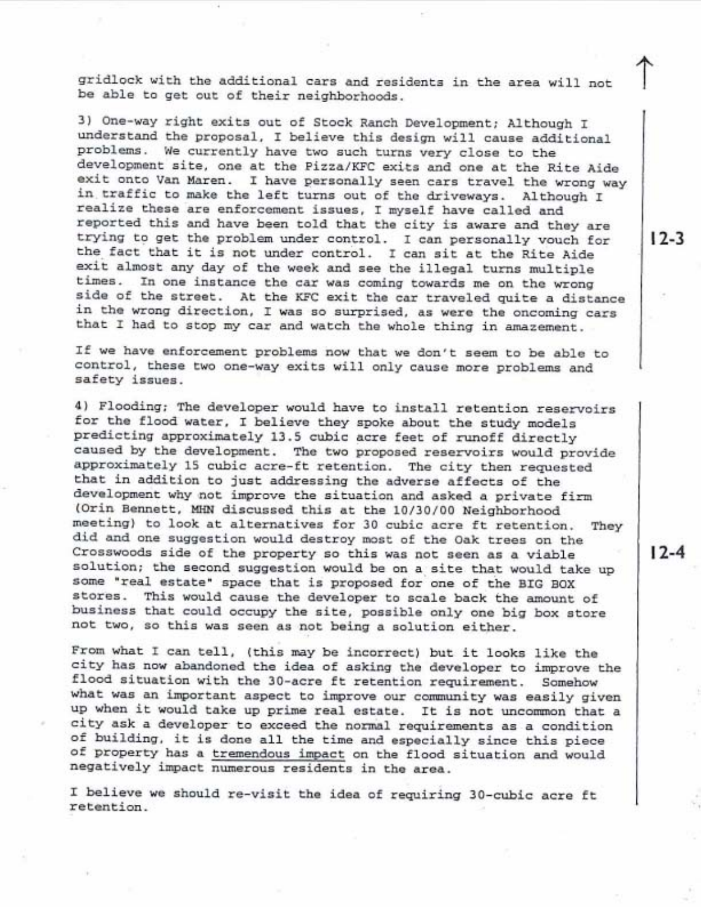gridlock with the additional cars and residents in the area will not be able to get out of their neighborhoods.

3) One-way right exits out of Stock Ranch Development; Although I understand the proposal, I believe this design will cause additional problems. We currently have two such turns very close to the development site, one at the Pizza/KFC exits and one at the Rite Aide exit onto Van Maren. I have personally seen cars travel the wrong way in traffic to make the left turns out of the driveways. Although I realize these are enforcement issues, I myself have called and reported this and have been told that the city is aware and they are trying to get the problem under control. I can personally vouch for the fact that it is not under control. I can sit at the Rite Aide exit almost any day of the week and see the illegal turns multiple times. In one instance the car was coming towards me on the wrong side of the street. At the KFC exit the car traveled quite a distance in the wrong direction, I was so surprised, as were the oncoming cars that I had to stop my car and watch the whole thing in amazement.

If we have enforcement problems now that we don't seem to be able to control, these two one-way exits will only cause more problems and safety issues.

4) Flooding; The developer would have to install retention reservoirs for the flood water, I believe they spoke about the study models predicting approximately 13.5 cubic acre feet of runoff directly caused by the development. The two proposed reservoirs would provide approximately 15 cubic acre-ft retention. The city then requested that in addition to just addressing the adverse affects of the development why not improve the situation and asked a private firm (Orin Bennett, MHN discussed this at the 10/30/00 Neighborhood meeting) to look at alternatives for 30 cubic acre ft retention. They did and one suggestion would destroy most of the Oak trees on the Crosswoods side of the property so this was not seen as a viable solution; the second suggestion would be on a site that would take up some "real estate" space that is proposed for one of the BIG BOX stores. This would cause the developer to scale back the amount of business that could occupy the site, possible only one big box store not two, so this was seen as not being a solution either.

From what I can tell, (this may be incorrect) but it looks like the city has now abandoned the idea of asking the developer to improve the flood situation with the 30-acre ft retention requirement. Somehow what was an important aspect to improve our community was easily given up when it would take up prime real estate. It is not uncommon that a city ask a developer to exceed the normal requirements as a condition of building, it is done all the time and especially since this piece of property has a tremendous impact on the flood situation and would negatively impact numerous residents in the area.

I believe we should re-visit the idea of requiring 30-cubic acre ft retention.

 $12 - 4$ 

 $12 - 3$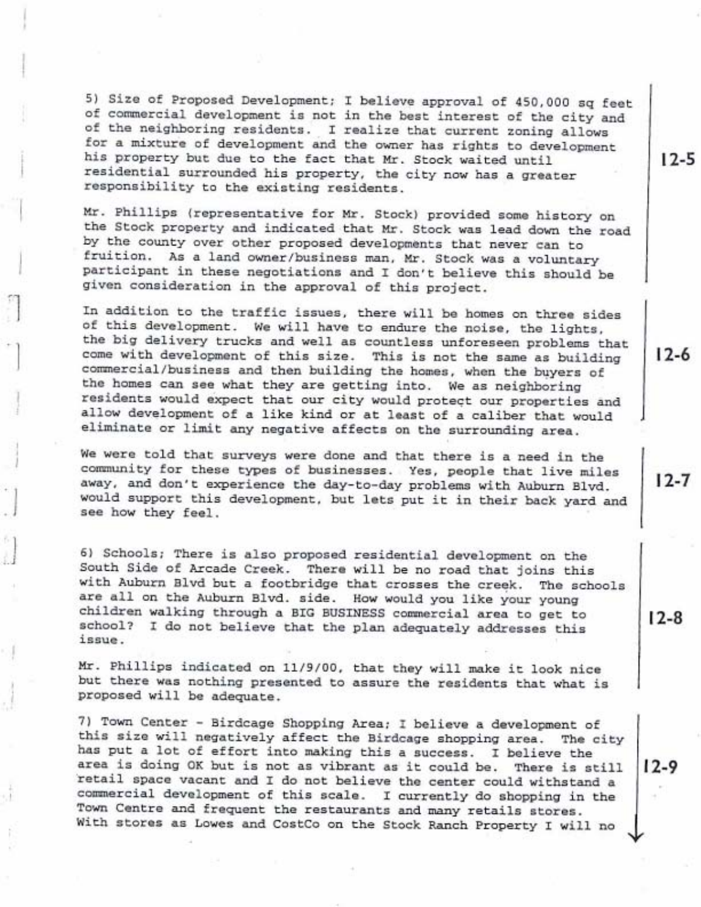5) Size of Proposed Development; I believe approval of 450,000 sq feet of commercial development is not in the best interest of the city and of the neighboring residents. I realize that current zoning allows for a mixture of development and the owner has rights to development his property but due to the fact that Mr. Stock waited until residential surrounded his property, the city now has a greater responsibility to the existing residents.

Mr. Phillips (representative for Mr. Stock) provided some history on the Stock property and indicated that Mr. Stock was lead down the road by the county over other proposed developments that never can to fruition. As a land owner/business man, Mr. Stock was a voluntary participant in these negotiations and I don't believe this should be given consideration in the approval of this project.

In addition to the traffic issues, there will be homes on three sides of this development. We will have to endure the noise, the lights, the big delivery trucks and well as countless unforeseen problems that come with development of this size. This is not the same as building commercial/business and then building the homes, when the buyers of the homes can see what they are getting into. We as neighboring residents would expect that our city would protect our properties and allow development of a like kind or at least of a caliber that would eliminate or limit any negative affects on the surrounding area.

We were told that surveys were done and that there is a need in the community for these types of businesses. Yes, people that live miles away, and don't experience the day-to-day problems with Auburn Blvd. would support this development, but lets put it in their back yard and see how they feel.

6) Schools; There is also proposed residential development on the South Side of Arcade Creek. There will be no road that joins this with Auburn Blvd but a footbridge that crosses the creek. The schools are all on the Auburn Blvd. side. How would you like your young children walking through a BIG BUSINESS commercial area to get to school? I do not believe that the plan adequately addresses this issue.

Mr. Phillips indicated on 11/9/00, that they will make it look nice but there was nothing presented to assure the residents that what is proposed will be adequate.

7) Town Center - Birdcage Shopping Area; I believe a development of this size will negatively affect the Birdcage shopping area. The city has put a lot of effort into making this a success. I believe the area is doing OK but is not as vibrant as it could be. There is still retail space vacant and I do not believe the center could withstand a commercial development of this scale. I currently do shopping in the Town Centre and frequent the restaurants and many retails stores. With stores as Lowes and CostCo on the Stock Ranch Property I will no

 $17-5$ 

 $12 - 6$ 

 $12 - 7$ 

 $12-8$ 

12-9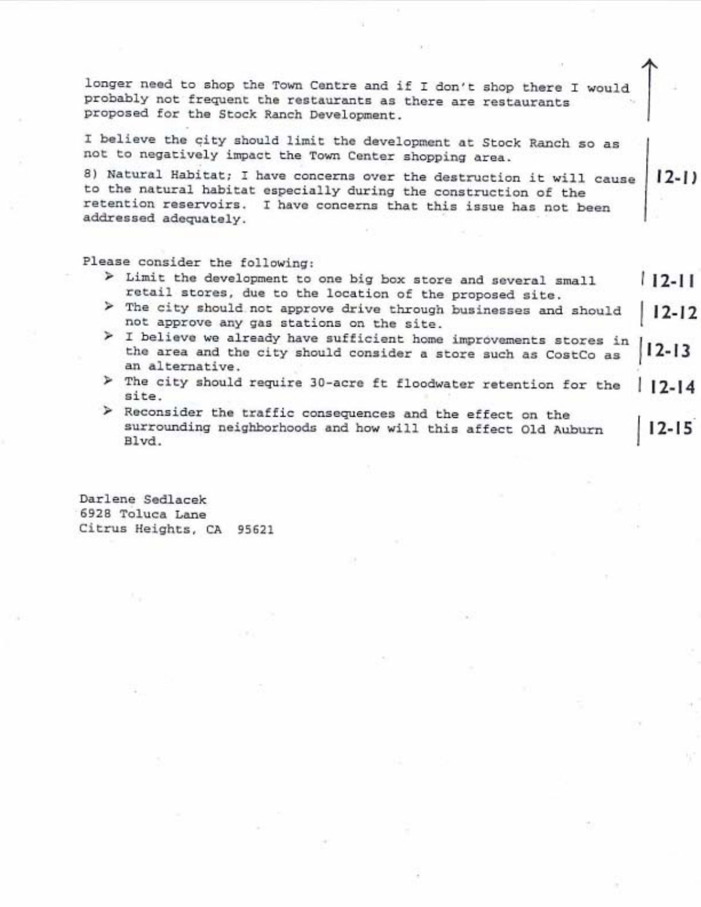longer need to shop the Town Centre and if I don't shop there I would probably not frequent the restaurants as there are restaurants proposed for the Stock Ranch Development.

I believe the city should limit the development at Stock Ranch so as not to negatively impact the Town Center shopping area.

8) Natural Habitat; I have concerns over the destruction it will cause  $12-11$ to the natural habitat especially during the construction of the retention reservoirs. I have concerns that this issue has not been addressed adequately.

Please consider the following:

- > Limit the development to one big box store and several small  $12 - 11$ retail stores, due to the location of the proposed site.
- > The city should not approve drive through businesses and should  $12 - 12$ not approve any gas stations on the site.
- > I believe we already have sufficient home improvements stores in the area and the city should consider a store such as CostCo as 12-13 an alternative.
- > The city should require 30-acre ft floodwater retention for the  $17 - 14$ site.
- > Reconsider the traffic consequences and the effect on the surrounding neighborhoods and how will this affect Old Auburn  $12 - 15$ Blvd.

Darlene Sedlacek 6928 Toluca Lane Citrus Heights, CA 95621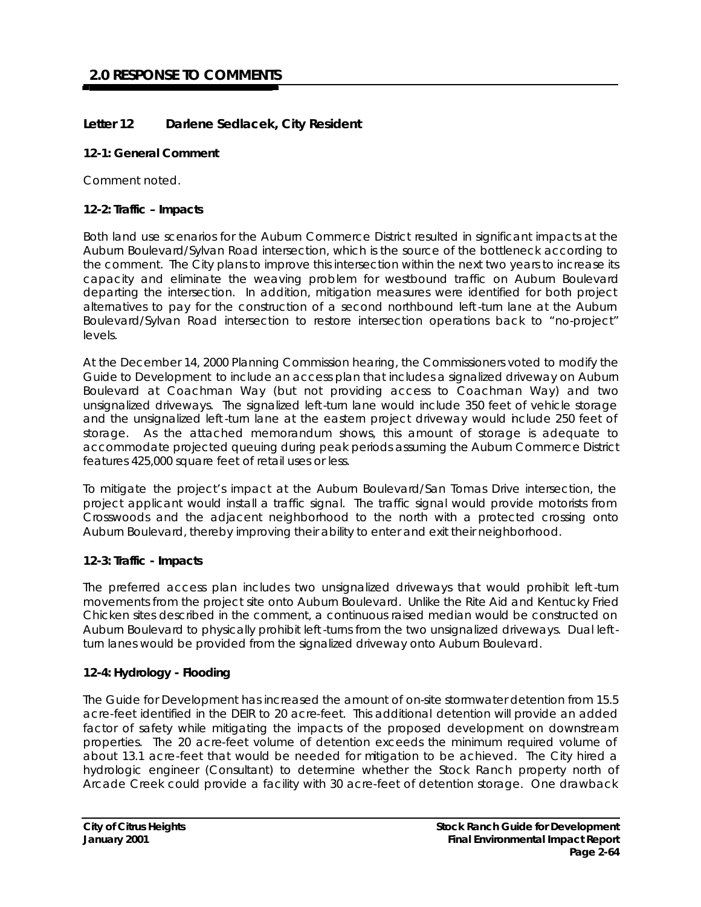# **Letter 12 Darlene Sedlacek, City Resident**

## **12-1: General Comment**

Comment noted.

## **12-2: Traffic – Impacts**

Both land use scenarios for the Auburn Commerce District resulted in significant impacts at the Auburn Boulevard/Sylvan Road intersection, which is the source of the bottleneck according to the comment. The City plans to improve this intersection within the next two years to increase its capacity and eliminate the weaving problem for westbound traffic on Auburn Boulevard departing the intersection. In addition, mitigation measures were identified for both project alternatives to pay for the construction of a second northbound left -turn lane at the Auburn Boulevard/Sylvan Road intersection to restore intersection operations back to "no-project" levels.

At the December 14, 2000 Planning Commission hearing, the Commissioners voted to modify the *Guide to Development* to include an access plan that includes a signalized driveway on Auburn Boulevard at Coachman Way (but not providing access to Coachman Way) and two unsignalized driveways. The signalized left-turn lane would include 350 feet of vehicle storage and the unsignalized left -turn lane at the eastern project driveway would include 250 feet of storage. As the attached memorandum shows, this amount of storage is adequate to accommodate projected queuing during peak periods assuming the Auburn Commerce District features 425,000 square feet of retail uses or less.

To mitigate the project's impact at the Auburn Boulevard/San Tomas Drive intersection, the project applicant would install a traffic signal. The traffic signal would provide motorists from Crosswoods and the adjacent neighborhood to the north with a protected crossing onto Auburn Boulevard, thereby improving their ability to enter and exit their neighborhood.

# **12-3: Traffic - Impacts**

The preferred access plan includes two unsignalized driveways that would prohibit left -turn movements from the project site onto Auburn Boulevard. Unlike the Rite Aid and Kentucky Fried Chicken sites described in the comment, a continuous raised median would be constructed on Auburn Boulevard to physically prohibit left -turns from the two unsignalized driveways. Dual leftturn lanes would be provided from the signalized driveway onto Auburn Boulevard.

# **12-4: Hydrology - Flooding**

The Guide for Development has increased the amount of on-site stormwater detention from 15.5 acre-feet identified in the DEIR to 20 acre-feet. This additional detention will provide an added factor of safety while mitigating the impacts of the proposed development on downstream properties. The 20 acre-feet volume of detention exceeds the minimum required volume of about 13.1 acre-feet that would be needed for mitigation to be achieved. The City hired a hydrologic engineer (Consultant) to determine whether the Stock Ranch property north of Arcade Creek could provide a facility with 30 acre-feet of detention storage. One drawback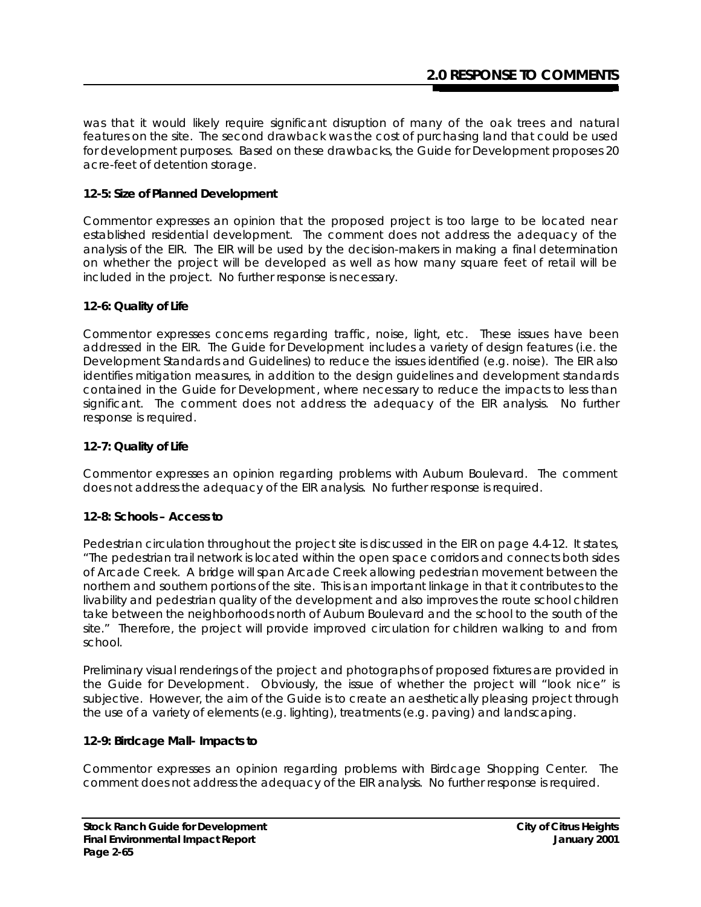was that it would likely require significant disruption of many of the oak trees and natural features on the site. The second drawback was the cost of purchasing land that could be used for development purposes. Based on these drawbacks, the Guide for Development proposes 20 acre-feet of detention storage.

## **12-5: Size of Planned Development**

Commentor expresses an opinion that the proposed project is too large to be located near established residential development. The comment does not address the adequacy of the analysis of the EIR. The EIR will be used by the decision-makers in making a final determination on whether the project will be developed as well as how many square feet of retail will be included in the project. No further response is necessary.

#### **12-6: Quality of Life**

Commentor expresses concerns regarding traffic, noise, light, etc. These issues have been addressed in the EIR. The *Guide for Development* includes a variety of design features (i.e. the Development Standards and Guidelines) to reduce the issues identified (e.g. noise). The EIR also identifies mitigation measures, in addition to the design guidelines and development standards contained in the *Guide for Development*, where necessary to reduce the impacts to less than significant. The comment does not address the adequacy of the EIR analysis. No further response is required.

#### **12-7: Quality of Life**

Commentor expresses an opinion regarding problems with Auburn Boulevard. The comment does not address the adequacy of the EIR analysis. No further response is required.

#### **12-8: Schools – Access to**

Pedestrian circulation throughout the project site is discussed in the EIR on page 4.4-12. It states, "The pedestrian trail network is located within the open space corridors and connects both sides of Arcade Creek. A bridge will span Arcade Creek allowing pedestrian movement between the northern and southern portions of the site. This is an important linkage in that it contributes to the livability and pedestrian quality of the development and also improves the route school children take between the neighborhoods north of Auburn Boulevard and the school to the south of the site." Therefore, the project will provide improved circulation for children walking to and from school.

Preliminary visual renderings of the project and photographs of proposed fixtures are provided in the *Guide for Development*. Obviously, the issue of whether the project will "look nice" is subjective. However, the aim of the Guide is to create an aesthetically pleasing project through the use of a variety of elements (e.g. lighting), treatments (e.g. paving) and landscaping.

## **12-9: Birdcage Mall- Impacts to**

Commentor expresses an opinion regarding problems with Birdcage Shopping Center. The comment does not address the adequacy of the EIR analysis. No further response is required.